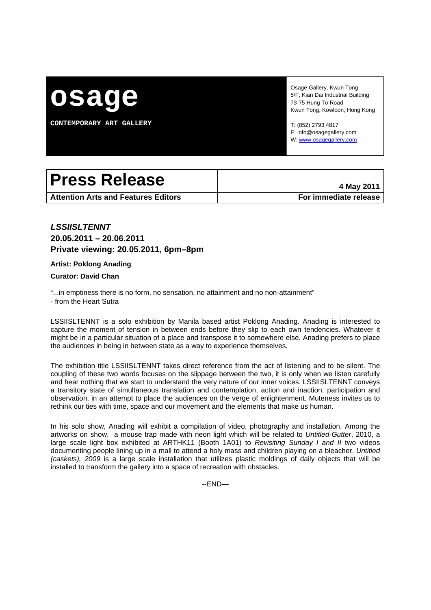

**CONTEMPORARY ART GALLERY** 

Osage Gallery, Kwun Tong 5/F, Kian Dai Industrial Building 73-75 Hung To Road Kwun Tong, Kowloon, Hong Kong

T: (852) 2793 4817 E: info@osagegallery.com W: www.osagegallery.com

# Press Release **Additional Press Release**

**Attention Arts and Features Editors For immediate release**

## *LSSIISLTENNT*  **20.05.2011 – 20.06.2011 Private viewing: 20.05.2011, 6pm–8pm**

### **Artist: Poklong Anading**

### **Curator: David Chan**

"...in emptiness there is no form, no sensation, no attainment and no non-attainment"

- from the Heart Sutra

LSSIISLTENNT is a solo exhibition by Manila based artist Poklong Anading. Anading is interested to capture the moment of tension in between ends before they slip to each own tendencies. Whatever it might be in a particular situation of a place and transpose it to somewhere else. Anading prefers to place the audiences in being in between state as a way to experience themselves.

The exhibition title LSSIISLTENNT takes direct reference from the act of listening and to be silent. The coupling of these two words focuses on the slippage between the two, it is only when we listen carefully and hear nothing that we start to understand the very nature of our inner voices. LSSIISLTENNT conveys a transitory state of simultaneous translation and contemplation, action and inaction, participation and observation, in an attempt to place the audiences on the verge of enlightenment. Muteness invites us to rethink our ties with time, space and our movement and the elements that make us human.

In his solo show, Anading will exhibit a compilation of video, photography and installation. Among the artworks on show, a mouse trap made with neon light which will be related to *Untitled-Gutter*, 2010, a large scale light box exhibited at ARTHK11 (Booth 1A01) to *Revisiting Sunday I and II* two videos documenting people lining up in a mall to attend a holy mass and children playing on a bleacher. *Untitled (caskets), 2009* is a large scale installation that utilizes plastic moldings of daily objects that will be installed to transform the gallery into a space of recreation with obstacles.

--END—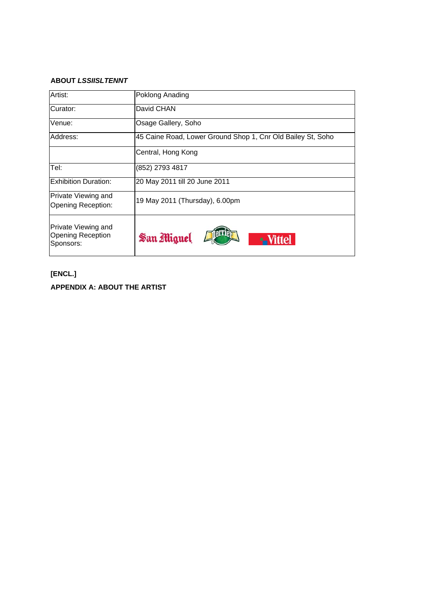### **ABOUT** *LSSIISLTENNT*

| Artist:                                               | Poklong Anading                                             |
|-------------------------------------------------------|-------------------------------------------------------------|
| Curator:                                              | David CHAN                                                  |
| Venue:                                                | Osage Gallery, Soho                                         |
| Address:                                              | 45 Caine Road, Lower Ground Shop 1, Cnr Old Bailey St, Soho |
|                                                       | Central, Hong Kong                                          |
| Tel:                                                  | (852) 2793 4817                                             |
| <b>Exhibition Duration:</b>                           | 20 May 2011 till 20 June 2011                               |
| Private Viewing and<br>Opening Reception:             | 19 May 2011 (Thursday), 6.00pm                              |
| Private Viewing and<br>Opening Reception<br>Sponsors: | San Miguel<br>ttel.                                         |

# **[ENCL.] APPENDIX A: ABOUT THE ARTIST**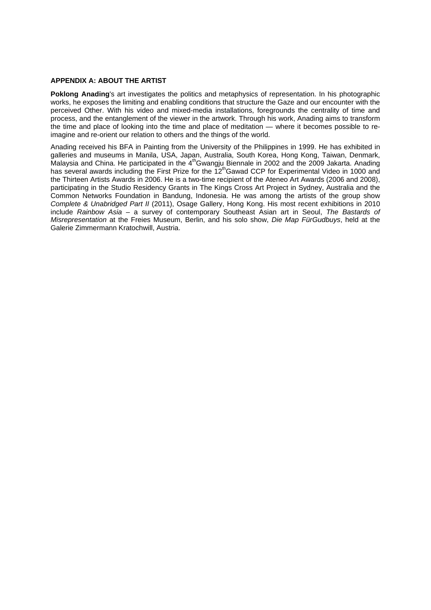### **APPENDIX A: ABOUT THE ARTIST**

**Poklong Anading**'s art investigates the politics and metaphysics of representation. In his photographic works, he exposes the limiting and enabling conditions that structure the Gaze and our encounter with the perceived Other. With his video and mixed-media installations, foregrounds the centrality of time and process, and the entanglement of the viewer in the artwork. Through his work, Anading aims to transform the time and place of looking into the time and place of meditation — where it becomes possible to reimagine and re-orient our relation to others and the things of the world.

Anading received his BFA in Painting from the University of the Philippines in 1999. He has exhibited in galleries and museums in Manila, USA, Japan, Australia, South Korea, Hong Kong, Taiwan, Denmark, Malaysia and China. He participated in the 4<sup>th</sup>Gwangju Biennale in 2002 and the 2009 Jakarta. Anading has several awards including the First Prize for the 12<sup>th</sup>Gawad CCP for Experimental Video in 1000 and the Thirteen Artists Awards in 2006. He is a two-time recipient of the Ateneo Art Awards (2006 and 2008), participating in the Studio Residency Grants in The Kings Cross Art Project in Sydney, Australia and the Common Networks Foundation in Bandung, Indonesia. He was among the artists of the group show *Complete & Unabridged Part II* (2011), Osage Gallery, Hong Kong. His most recent exhibitions in 2010 include *Rainbow Asia* – a survey of contemporary Southeast Asian art in Seoul, *The Bastards of Misrepresentation* at the Freies Museum, Berlin, and his solo show, *Die Map FürGudbuys*, held at the Galerie Zimmermann Kratochwill, Austria.